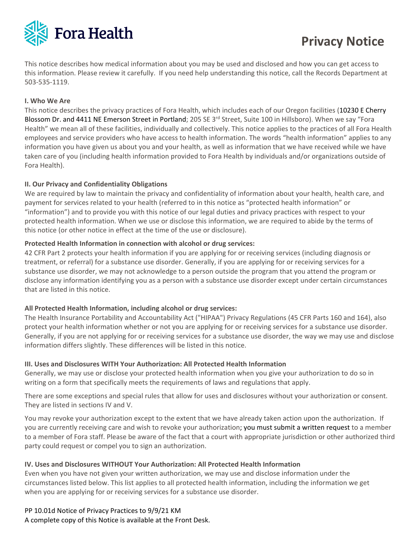

# **Privacy Notice**

This notice describes how medical information about you may be used and disclosed and how you can get access to this information. Please review it carefully. If you need help understanding this notice, call the Records Department at 503-535-1119.

## **I. Who We Are**

This notice describes the privacy practices of Fora Health, which includes each of our Oregon facilities (10230 E Cherry Blossom Dr. and 4411 NE Emerson Street in Portland; 205 SE 3<sup>rd</sup> Street, Suite 100 in Hillsboro). When we say "Fora Health" we mean all of these facilities, individually and collectively. This notice applies to the practices of all Fora Health employees and service providers who have access to health information. The words "health information" applies to any information you have given us about you and your health, as well as information that we have received while we have taken care of you (including health information provided to Fora Health by individuals and/or organizations outside of Fora Health).

## **II. Our Privacy and Confidentiality Obligations**

We are required by law to maintain the privacy and confidentiality of information about your health, health care, and payment for services related to your health (referred to in this notice as "protected health information" or "information") and to provide you with this notice of our legal duties and privacy practices with respect to your protected health information. When we use or disclose this information, we are required to abide by the terms of this notice (or other notice in effect at the time of the use or disclosure).

#### **Protected Health Information in connection with alcohol or drug services:**

42 CFR Part 2 protects your health information if you are applying for or receiving services (including diagnosis or treatment, or referral) for a substance use disorder. Generally, if you are applying for or receiving services for a substance use disorder, we may not acknowledge to a person outside the program that you attend the program or disclose any information identifying you as a person with a substance use disorder except under certain circumstances that are listed in this notice.

#### **All Protected Health Information, including alcohol or drug services:**

The Health Insurance Portability and Accountability Act ("HIPAA") Privacy Regulations (45 CFR Parts 160 and 164), also protect your health information whether or not you are applying for or receiving services for a substance use disorder. Generally, if you are not applying for or receiving services for a substance use disorder, the way we may use and disclose information differs slightly. These differences will be listed in this notice.

#### **III. Uses and Disclosures WITH Your Authorization: All Protected Health Information**

Generally, we may use or disclose your protected health information when you give your authorization to do so in writing on a form that specifically meets the requirements of laws and regulations that apply.

There are some exceptions and special rules that allow for uses and disclosures without your authorization or consent. They are listed in sections IV and V.

You may revoke your authorization except to the extent that we have already taken action upon the authorization. If you are currently receiving care and wish to revoke your authorization; you must submit a written request to a member to a member of Fora staff. Please be aware of the fact that a court with appropriate jurisdiction or other authorized third party could request or compel you to sign an authorization.

#### **IV. Uses and Disclosures WITHOUT Your Authorization: All Protected Health Information**

Even when you have not given your written authorization, we may use and disclose information under the circumstances listed below. This list applies to all protected health information, including the information we get when you are applying for or receiving services for a substance use disorder.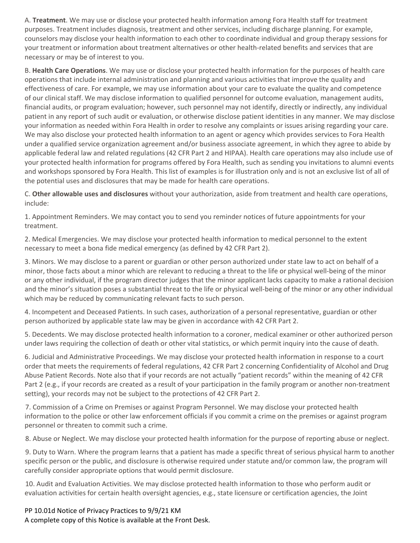A. **Treatment**. We may use or disclose your protected health information among Fora Health staff for treatment purposes. Treatment includes diagnosis, treatment and other services, including discharge planning. For example, counselors may disclose your health information to each other to coordinate individual and group therapy sessions for your treatment or information about treatment alternatives or other health-related benefits and services that are necessary or may be of interest to you.

B. **Health Care Operations**. We may use or disclose your protected health information for the purposes of health care operations that include internal administration and planning and various activities that improve the quality and effectiveness of care. For example, we may use information about your care to evaluate the quality and competence of our clinical staff. We may disclose information to qualified personnel for outcome evaluation, management audits, financial audits, or program evaluation; however, such personnel may not identify, directly or indirectly, any individual patient in any report of such audit or evaluation, or otherwise disclose patient identities in any manner. We may disclose your information as needed within Fora Health in order to resolve any complaints or issues arising regarding your care. We may also disclose your protected health information to an agent or agency which provides services to Fora Health under a qualified service organization agreement and/or business associate agreement, in which they agree to abide by applicable federal law and related regulations (42 CFR Part 2 and HIPAA). Health care operations may also include use of your protected health information for programs offered by Fora Health, such as sending you invitations to alumni events and workshops sponsored by Fora Health. This list of examples is for illustration only and is not an exclusive list of all of the potential uses and disclosures that may be made for health care operations.

C. **Other allowable uses and disclosures** without your authorization, aside from treatment and health care operations, include:

1. Appointment Reminders. We may contact you to send you reminder notices of future appointments for your treatment.

2. Medical Emergencies. We may disclose your protected health information to medical personnel to the extent necessary to meet a bona fide medical emergency (as defined by 42 CFR Part 2).

3. Minors. We may disclose to a parent or guardian or other person authorized under state law to act on behalf of a minor, those facts about a minor which are relevant to reducing a threat to the life or physical well-being of the minor or any other individual, if the program director judges that the minor applicant lacks capacity to make a rational decision and the minor's situation poses a substantial threat to the life or physical well-being of the minor or any other individual which may be reduced by communicating relevant facts to such person.

4. Incompetent and Deceased Patients. In such cases, authorization of a personal representative, guardian or other person authorized by applicable state law may be given in accordance with 42 CFR Part 2.

5. Decedents. We may disclose protected health information to a coroner, medical examiner or other authorized person under laws requiring the collection of death or other vital statistics, or which permit inquiry into the cause of death.

6. Judicial and Administrative Proceedings. We may disclose your protected health information in response to a court order that meets the requirements of federal regulations, 42 CFR Part 2 concerning Confidentiality of Alcohol and Drug Abuse Patient Records. Note also that if your records are not actually "patient records" within the meaning of 42 CFR Part 2 (e.g., if your records are created as a result of your participation in the family program or another non-treatment setting), your records may not be subject to the protections of 42 CFR Part 2.

 7. Commission of a Crime on Premises or against Program Personnel. We may disclose your protected health information to the police or other law enforcement officials if you commit a crime on the premises or against program personnel or threaten to commit such a crime.

8. Abuse or Neglect. We may disclose your protected health information for the purpose of reporting abuse or neglect.

 9. Duty to Warn. Where the program learns that a patient has made a specific threat of serious physical harm to another specific person or the public, and disclosure is otherwise required under statute and/or common law, the program will carefully consider appropriate options that would permit disclosure.

 10. Audit and Evaluation Activities. We may disclose protected health information to those who perform audit or evaluation activities for certain health oversight agencies, e.g., state licensure or certification agencies, the Joint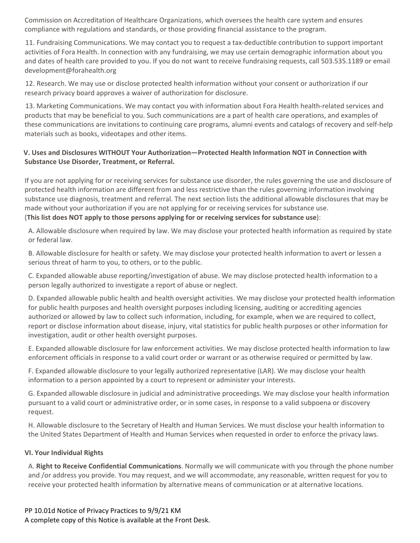Commission on Accreditation of Healthcare Organizations, which oversees the health care system and ensures compliance with regulations and standards, or those providing financial assistance to the program.

 11. Fundraising Communications. We may contact you to request a tax-deductible contribution to support important activities of Fora Health. In connection with any fundraising, we may use certain demographic information about you and dates of health care provided to you. If you do not want to receive fundraising requests, call 503.535.1189 or email development@forahealth.org

 12. Research. We may use or disclose protected health information without your consent or authorization if our research privacy board approves a waiver of authorization for disclosure.

 13. Marketing Communications. We may contact you with information about Fora Health health-related services and products that may be beneficial to you. Such communications are a part of health care operations, and examples of these communications are invitations to continuing care programs, alumni events and catalogs of recovery and self-help materials such as books, videotapes and other items.

# **V. Uses and Disclosures WITHOUT Your Authorization—Protected Health Information NOT in Connection with Substance Use Disorder, Treatment, or Referral.**

If you are not applying for or receiving services for substance use disorder, the rules governing the use and disclosure of protected health information are different from and less restrictive than the rules governing information involving substance use diagnosis, treatment and referral. The next section lists the additional allowable disclosures that may be made without your authorization if you are not applying for or receiving services for substance use. (**This list does NOT apply to those persons applying for or receiving services for substance use**):

A. Allowable disclosure when required by law. We may disclose your protected health information as required by state or federal law.

B. Allowable disclosure for health or safety. We may disclose your protected health information to avert or lessen a serious threat of harm to you, to others, or to the public.

C. Expanded allowable abuse reporting/investigation of abuse. We may disclose protected health information to a person legally authorized to investigate a report of abuse or neglect.

D. Expanded allowable public health and health oversight activities. We may disclose your protected health information for public health purposes and health oversight purposes including licensing, auditing or accrediting agencies authorized or allowed by law to collect such information, including, for example, when we are required to collect, report or disclose information about disease, injury, vital statistics for public health purposes or other information for investigation, audit or other health oversight purposes.

E. Expanded allowable disclosure for law enforcement activities. We may disclose protected health information to law enforcement officials in response to a valid court order or warrant or as otherwise required or permitted by law.

F. Expanded allowable disclosure to your legally authorized representative (LAR). We may disclose your health information to a person appointed by a court to represent or administer your interests.

G. Expanded allowable disclosure in judicial and administrative proceedings. We may disclose your health information pursuant to a valid court or administrative order, or in some cases, in response to a valid subpoena or discovery request.

H. Allowable disclosure to the Secretary of Health and Human Services. We must disclose your health information to the United States Department of Health and Human Services when requested in order to enforce the privacy laws.

#### **VI. Your Individual Rights**

A. **Right to Receive Confidential Communications**. Normally we will communicate with you through the phone number and /or address you provide. You may request, and we will accommodate, any reasonable, written request for you to receive your protected health information by alternative means of communication or at alternative locations.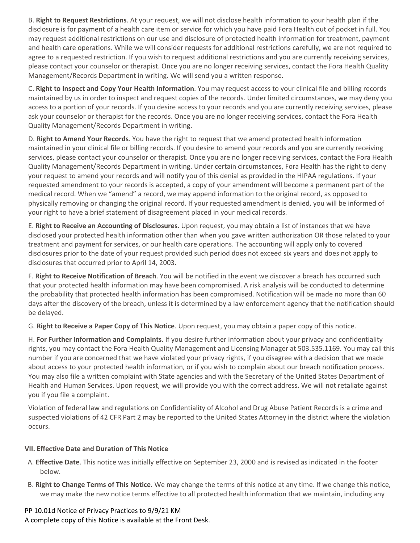B. **Right to Request Restrictions**. At your request, we will not disclose health information to your health plan if the disclosure is for payment of a health care item or service for which you have paid Fora Health out of pocket in full. You may request additional restrictions on our use and disclosure of protected health information for treatment, payment and health care operations. While we will consider requests for additional restrictions carefully, we are not required to agree to a requested restriction. If you wish to request additional restrictions and you are currently receiving services, please contact your counselor or therapist. Once you are no longer receiving services, contact the Fora Health Quality Management/Records Department in writing. We will send you a written response.

C. **Right to Inspect and Copy Your Health Information**. You may request access to your clinical file and billing records maintained by us in order to inspect and request copies of the records. Under limited circumstances, we may deny you access to a portion of your records. If you desire access to your records and you are currently receiving services, please ask your counselor or therapist for the records. Once you are no longer receiving services, contact the Fora Health Quality Management/Records Department in writing.

D. **Right to Amend Your Records**. You have the right to request that we amend protected health information maintained in your clinical file or billing records. If you desire to amend your records and you are currently receiving services, please contact your counselor or therapist. Once you are no longer receiving services, contact the Fora Health Quality Management/Records Department in writing. Under certain circumstances, Fora Health has the right to deny your request to amend your records and will notify you of this denial as provided in the HIPAA regulations. If your requested amendment to your records is accepted, a copy of your amendment will become a permanent part of the medical record. When we "amend" a record, we may append information to the original record, as opposed to physically removing or changing the original record. If your requested amendment is denied, you will be informed of your right to have a brief statement of disagreement placed in your medical records.

E. **Right to Receive an Accounting of Disclosures**. Upon request, you may obtain a list of instances that we have disclosed your protected health information other than when you gave written authorization OR those related to your treatment and payment for services, or our health care operations. The accounting will apply only to covered disclosures prior to the date of your request provided such period does not exceed six years and does not apply to disclosures that occurred prior to April 14, 2003.

F. **Right to Receive Notification of Breach**. You will be notified in the event we discover a breach has occurred such that your protected health information may have been compromised. A risk analysis will be conducted to determine the probability that protected health information has been compromised. Notification will be made no more than 60 days after the discovery of the breach, unless it is determined by a law enforcement agency that the notification should be delayed.

G. **Right to Receive a Paper Copy of This Notice**. Upon request, you may obtain a paper copy of this notice.

H. **For Further Information and Complaints**. If you desire further information about your privacy and confidentiality rights, you may contact the Fora Health Quality Management and Licensing Manager at 503.535.1169. You may call this number if you are concerned that we have violated your privacy rights, if you disagree with a decision that we made about access to your protected health information, or if you wish to complain about our breach notification process. You may also file a written complaint with State agencies and with the Secretary of the United States Department of Health and Human Services. Upon request, we will provide you with the correct address. We will not retaliate against you if you file a complaint.

Violation of federal law and regulations on Confidentiality of Alcohol and Drug Abuse Patient Records is a crime and suspected violations of 42 CFR Part 2 may be reported to the United States Attorney in the district where the violation occurs.

# **VII. Effective Date and Duration of This Notice**

- A. **Effective Date**. This notice was initially effective on September 23, 2000 and is revised as indicated in the footer below.
- B. **Right to Change Terms of This Notice**. We may change the terms of this notice at any time. If we change this notice, we may make the new notice terms effective to all protected health information that we maintain, including any